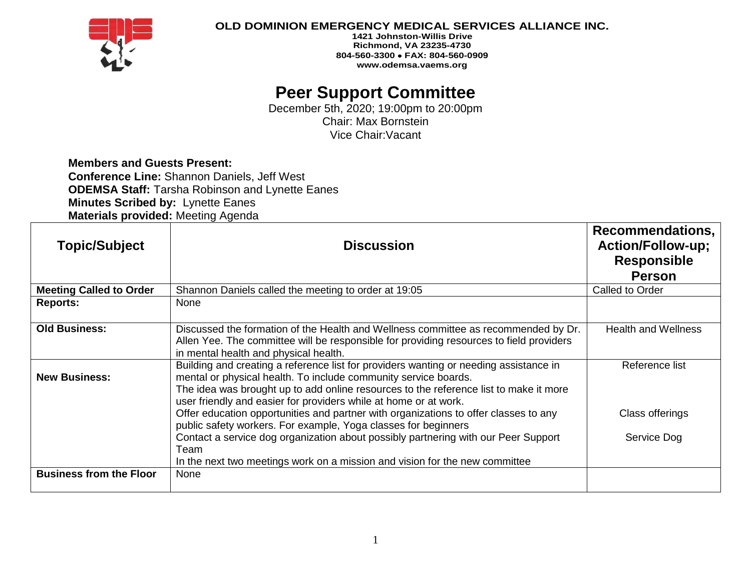

### **OLD DOMINION EMERGENCY MEDICAL SERVICES ALLIANCE INC.**

**1421 Johnston-Willis Drive Richmond, VA 23235-4730 804-560-3300** • **FAX: 804-560-0909 www.odemsa.vaems.org**

## **Peer Support Committee**

December 5th, 2020; 19:00pm to 20:00pm Chair: Max Bornstein Vice Chair:Vacant

# **Members and Guests Present:**

**Conference Line:** Shannon Daniels, Jeff West **ODEMSA Staff:** Tarsha Robinson and Lynette Eanes **Minutes Scribed by:** Lynette Eanes **Materials provided:** Meeting Agenda

| <b>Topic/Subject</b>           | <b>Discussion</b>                                                                                                                                                                                                                                                                                                     | <b>Recommendations,</b><br><b>Action/Follow-up;</b><br><b>Responsible</b><br><b>Person</b> |
|--------------------------------|-----------------------------------------------------------------------------------------------------------------------------------------------------------------------------------------------------------------------------------------------------------------------------------------------------------------------|--------------------------------------------------------------------------------------------|
| <b>Meeting Called to Order</b> | Shannon Daniels called the meeting to order at 19:05                                                                                                                                                                                                                                                                  | Called to Order                                                                            |
| <b>Reports:</b>                | None                                                                                                                                                                                                                                                                                                                  |                                                                                            |
| <b>Old Business:</b>           | Discussed the formation of the Health and Wellness committee as recommended by Dr.<br>Allen Yee. The committee will be responsible for providing resources to field providers<br>in mental health and physical health.                                                                                                | <b>Health and Wellness</b>                                                                 |
| <b>New Business:</b>           | Building and creating a reference list for providers wanting or needing assistance in<br>mental or physical health. To include community service boards.<br>The idea was brought up to add online resources to the reference list to make it more<br>user friendly and easier for providers while at home or at work. | Reference list                                                                             |
|                                | Offer education opportunities and partner with organizations to offer classes to any<br>public safety workers. For example, Yoga classes for beginners                                                                                                                                                                | Class offerings                                                                            |
|                                | Contact a service dog organization about possibly partnering with our Peer Support<br>Team<br>In the next two meetings work on a mission and vision for the new committee                                                                                                                                             | Service Dog                                                                                |
| <b>Business from the Floor</b> | None                                                                                                                                                                                                                                                                                                                  |                                                                                            |